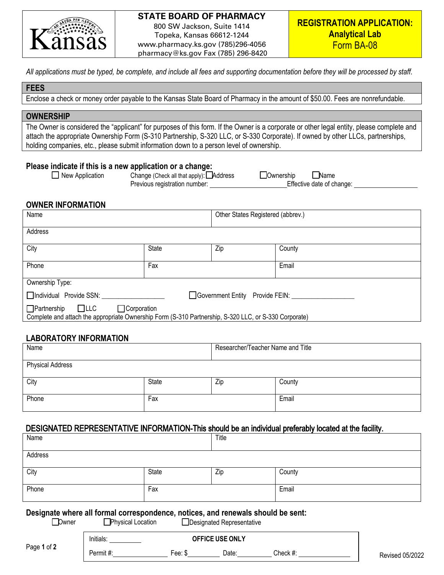

# **STATE BOARD OF PHARMACY**

800 SW Jackson, Suite 1414 Topeka, Kansas 66612-1244 www.pharmacy.ks.gov (785)296-4056 pharmacy@ks.gov Fax (785) 296-8420

*All applications must be typed, be complete, and include all fees and supporting documentation before they will be processed by staff.*

#### **FEES**

Enclose a check or money order payable to the Kansas State Board of Pharmacy in the amount of \$50.00. Fees are nonrefundable.

### **OWNERSHIP**

The Owner is considered the "applicant" for purposes of this form. If the Owner is a corporate or other legal entity, please complete and attach the appropriate Ownership Form (S-310 Partnership, S-320 LLC, or S-330 Corporate). If owned by other LLCs, partnerships, holding companies, etc., please submit information down to a person level of ownership.

# **Please indicate if this is a new application or a change:**<br>
D New Application Change (Check all that apply):

- 
- Change (Check all that apply):  $\Box$  Address  $\Box$  Ownership  $\Box$  Name Previous registration number: Effective date of change:

### **OWNER INFORMATION**

| Name                                                                                                                                                    |              | Other States Registered (abbrev.) |        |  |
|---------------------------------------------------------------------------------------------------------------------------------------------------------|--------------|-----------------------------------|--------|--|
| Address                                                                                                                                                 |              |                                   |        |  |
| City                                                                                                                                                    | <b>State</b> | Zip                               | County |  |
| Phone                                                                                                                                                   | Fax          |                                   | Email  |  |
| Ownership Type:                                                                                                                                         |              |                                   |        |  |
| Individual Provide SSN:<br>□ Government Entity Provide FEIN:                                                                                            |              |                                   |        |  |
| $\Box$ Partnership $\Box$ LLC<br>□ Corporation<br>Complete and attach the appropriate Ownership Form (S-310 Partnership, S-320 LLC, or S-330 Corporate) |              |                                   |        |  |

# **LABORATORY INFORMATION**

| Name                    |       | Researcher/Teacher Name and Title |        |
|-------------------------|-------|-----------------------------------|--------|
| <b>Physical Address</b> |       |                                   |        |
| City                    | State | Zip                               | County |
| Phone                   | Fax   |                                   | Email  |

# DESIGNATED REPRESENTATIVE INFORMATION-This should be an individual preferably located at the facility.

| Name                                                                                                                                        |           |              | Title                  |          |                 |  |
|---------------------------------------------------------------------------------------------------------------------------------------------|-----------|--------------|------------------------|----------|-----------------|--|
| Address                                                                                                                                     |           |              |                        |          |                 |  |
| City                                                                                                                                        |           | <b>State</b> | Zip                    | County   |                 |  |
| Phone                                                                                                                                       |           | Fax          |                        | Email    |                 |  |
| Designate where all formal correspondence, notices, and renewals should be sent:<br>Physical Location<br>Dwner<br>Designated Representative |           |              |                        |          |                 |  |
| Page 1 of 2                                                                                                                                 | Initials: |              | <b>OFFICE USE ONLY</b> |          |                 |  |
|                                                                                                                                             | Permit#:  | Fee: $$$     | Date:                  | Check #: | Revised 05/2022 |  |